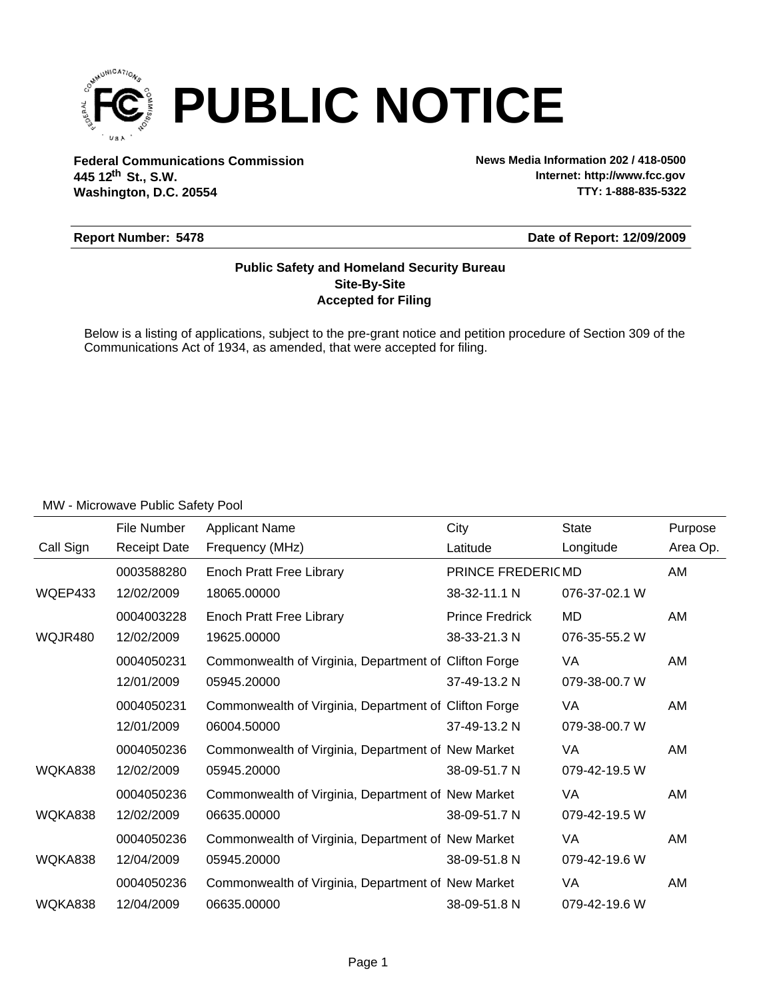

**Federal Communications Commission News Media Information 202 / 418-0500 Washington, D.C. 20554 th 445 12 St., S.W.**

**Internet: http://www.fcc.gov TTY: 1-888-835-5322**

#### **Report Number: 5478**

**Date of Report: 12/09/2009**

#### **Accepted for Filing Site-By-Site Public Safety and Homeland Security Bureau**

Below is a listing of applications, subject to the pre-grant notice and petition procedure of Section 309 of the Communications Act of 1934, as amended, that were accepted for filing.

|           | File Number         | <b>Applicant Name</b>                                 | City                   | <b>State</b>  | Purpose  |
|-----------|---------------------|-------------------------------------------------------|------------------------|---------------|----------|
| Call Sign | <b>Receipt Date</b> | Frequency (MHz)                                       | Latitude               | Longitude     | Area Op. |
|           | 0003588280          | Enoch Pratt Free Library                              | PRINCE FREDERICMD      |               | AM       |
| WQEP433   | 12/02/2009          | 18065.00000                                           | 38-32-11.1 N           | 076-37-02.1 W |          |
|           | 0004003228          | Enoch Pratt Free Library                              | <b>Prince Fredrick</b> | MD            | AM       |
| WQJR480   | 12/02/2009          | 19625.00000                                           | 38-33-21.3 N           | 076-35-55.2 W |          |
|           | 0004050231          | Commonwealth of Virginia, Department of Clifton Forge |                        | VA            | AM       |
|           | 12/01/2009          | 05945.20000                                           | 37-49-13.2 N           | 079-38-00.7 W |          |
|           | 0004050231          | Commonwealth of Virginia, Department of Clifton Forge |                        | VA            | AM       |
|           | 12/01/2009          | 06004.50000                                           | 37-49-13.2 N           | 079-38-00.7 W |          |
|           | 0004050236          | Commonwealth of Virginia, Department of New Market    |                        | VA            | AM       |
| WQKA838   | 12/02/2009          | 05945.20000                                           | 38-09-51.7 N           | 079-42-19.5 W |          |
|           | 0004050236          | Commonwealth of Virginia, Department of New Market    |                        | VA            | AM       |
| WQKA838   | 12/02/2009          | 06635.00000                                           | 38-09-51.7 N           | 079-42-19.5 W |          |
|           | 0004050236          | Commonwealth of Virginia, Department of New Market    |                        | VA            | AM       |
| WQKA838   | 12/04/2009          | 05945.20000                                           | 38-09-51.8 N           | 079-42-19.6 W |          |
|           | 0004050236          | Commonwealth of Virginia, Department of New Market    |                        | VA            | AM       |
| WQKA838   | 12/04/2009          | 06635.00000                                           | 38-09-51.8 N           | 079-42-19.6 W |          |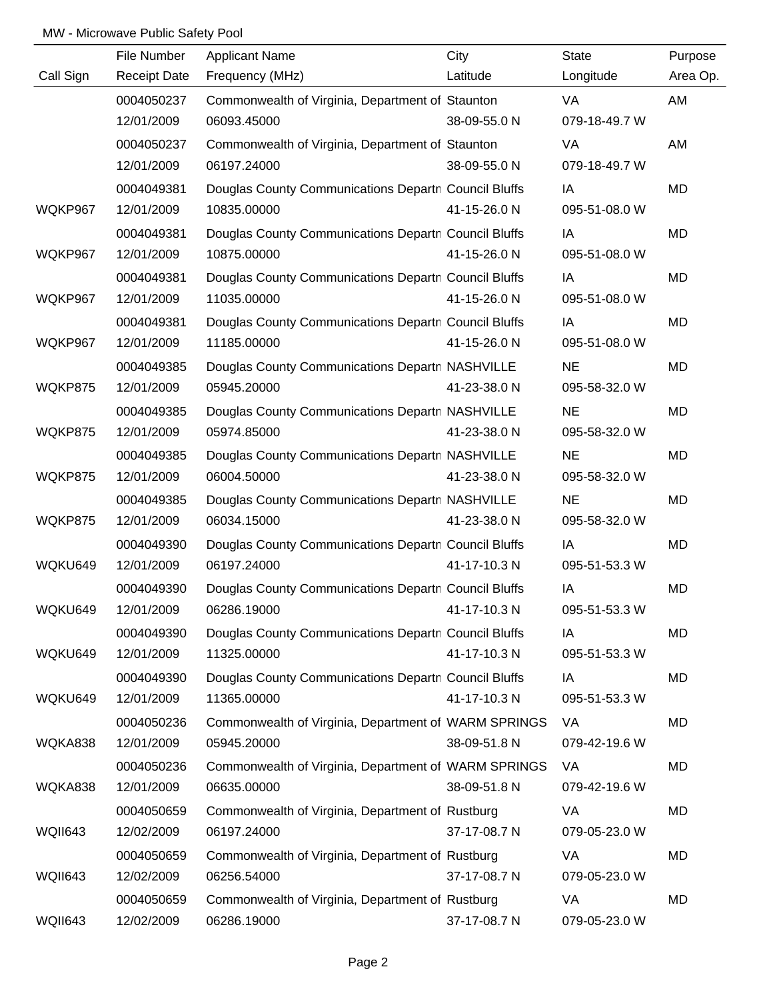|           | File Number         | <b>Applicant Name</b>                                | City         | <b>State</b>  | Purpose  |
|-----------|---------------------|------------------------------------------------------|--------------|---------------|----------|
| Call Sign | <b>Receipt Date</b> | Frequency (MHz)                                      | Latitude     | Longitude     | Area Op. |
|           | 0004050237          | Commonwealth of Virginia, Department of Staunton     |              | VA            | AM       |
|           | 12/01/2009          | 06093.45000                                          | 38-09-55.0 N | 079-18-49.7 W |          |
|           | 0004050237          | Commonwealth of Virginia, Department of Staunton     |              | VA            | AM       |
|           | 12/01/2009          | 06197.24000                                          | 38-09-55.0 N | 079-18-49.7 W |          |
|           | 0004049381          | Douglas County Communications Departn Council Bluffs |              | IA            | MD       |
| WQKP967   | 12/01/2009          | 10835.00000                                          | 41-15-26.0 N | 095-51-08.0 W |          |
|           | 0004049381          | Douglas County Communications Departn Council Bluffs |              | IA            | MD       |
| WQKP967   | 12/01/2009          | 10875.00000                                          | 41-15-26.0 N | 095-51-08.0 W |          |
|           | 0004049381          | Douglas County Communications Departn Council Bluffs |              | IA            | MD       |
| WQKP967   | 12/01/2009          | 11035.00000                                          | 41-15-26.0 N | 095-51-08.0 W |          |
|           | 0004049381          | Douglas County Communications Departn Council Bluffs |              | IA            | MD       |
| WQKP967   | 12/01/2009          | 11185.00000                                          | 41-15-26.0 N | 095-51-08.0 W |          |
|           | 0004049385          | Douglas County Communications Departn NASHVILLE      |              | <b>NE</b>     | MD       |
| WQKP875   | 12/01/2009          | 05945.20000                                          | 41-23-38.0 N | 095-58-32.0 W |          |
|           | 0004049385          | Douglas County Communications Departn NASHVILLE      |              | <b>NE</b>     | MD       |
| WQKP875   | 12/01/2009          | 05974.85000                                          | 41-23-38.0 N | 095-58-32.0 W |          |
|           | 0004049385          | Douglas County Communications Departn NASHVILLE      |              | <b>NE</b>     | MD       |
| WQKP875   | 12/01/2009          | 06004.50000                                          | 41-23-38.0 N | 095-58-32.0 W |          |
|           | 0004049385          | Douglas County Communications Departn NASHVILLE      |              | <b>NE</b>     | MD       |
| WQKP875   | 12/01/2009          | 06034.15000                                          | 41-23-38.0 N | 095-58-32.0 W |          |
|           | 0004049390          | Douglas County Communications Departn Council Bluffs |              | IA            | MD       |
| WQKU649   | 12/01/2009          | 06197.24000                                          | 41-17-10.3 N | 095-51-53.3 W |          |
|           | 0004049390          | Douglas County Communications Departn Council Bluffs |              | IA            | MD       |
| WQKU649   | 12/01/2009          | 06286.19000                                          | 41-17-10.3 N | 095-51-53.3 W |          |
|           | 0004049390          | Douglas County Communications Departn Council Bluffs |              | IA            | MD       |
| WQKU649   | 12/01/2009          | 11325.00000                                          | 41-17-10.3 N | 095-51-53.3 W |          |
|           | 0004049390          | Douglas County Communications Departn Council Bluffs |              | IA            | MD       |
| WQKU649   | 12/01/2009          | 11365.00000                                          | 41-17-10.3 N | 095-51-53.3 W |          |
|           | 0004050236          | Commonwealth of Virginia, Department of WARM SPRINGS |              | VA            | MD       |
| WQKA838   | 12/01/2009          | 05945.20000                                          | 38-09-51.8 N | 079-42-19.6 W |          |
|           | 0004050236          | Commonwealth of Virginia, Department of WARM SPRINGS |              | VA            | MD       |
| WQKA838   | 12/01/2009          | 06635.00000                                          | 38-09-51.8 N | 079-42-19.6 W |          |
|           | 0004050659          | Commonwealth of Virginia, Department of Rustburg     |              | VA            | MD       |
| WQII643   | 12/02/2009          | 06197.24000                                          | 37-17-08.7 N | 079-05-23.0 W |          |
|           | 0004050659          | Commonwealth of Virginia, Department of Rustburg     |              | VA            | MD       |
| WQII643   | 12/02/2009          | 06256.54000                                          | 37-17-08.7 N | 079-05-23.0 W |          |
|           | 0004050659          | Commonwealth of Virginia, Department of Rustburg     |              | VA            | MD       |
| WQII643   | 12/02/2009          | 06286.19000                                          | 37-17-08.7 N | 079-05-23.0 W |          |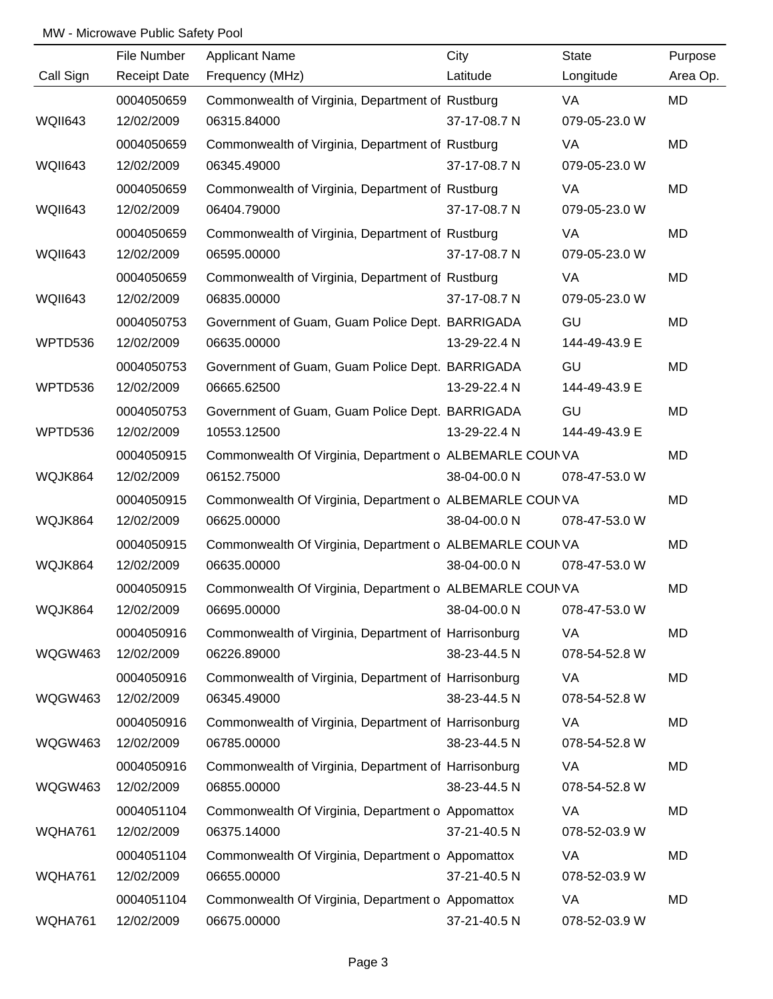|                | File Number         | <b>Applicant Name</b>                                   | City         | <b>State</b>  | Purpose   |
|----------------|---------------------|---------------------------------------------------------|--------------|---------------|-----------|
| Call Sign      | <b>Receipt Date</b> | Frequency (MHz)                                         | Latitude     | Longitude     | Area Op.  |
|                | 0004050659          | Commonwealth of Virginia, Department of Rustburg        |              | VA            | MD        |
| WQII643        | 12/02/2009          | 06315.84000                                             | 37-17-08.7 N | 079-05-23.0 W |           |
|                | 0004050659          | Commonwealth of Virginia, Department of Rustburg        |              | VA            | MD        |
| <b>WQII643</b> | 12/02/2009          | 06345.49000                                             | 37-17-08.7 N | 079-05-23.0 W |           |
|                | 0004050659          | Commonwealth of Virginia, Department of Rustburg        |              | VA            | MD        |
| <b>WQII643</b> | 12/02/2009          | 06404.79000                                             | 37-17-08.7 N | 079-05-23.0 W |           |
|                | 0004050659          | Commonwealth of Virginia, Department of Rustburg        |              | VA            | MD        |
| <b>WQII643</b> | 12/02/2009          | 06595.00000                                             | 37-17-08.7 N | 079-05-23.0 W |           |
|                | 0004050659          | Commonwealth of Virginia, Department of Rustburg        |              | VA            | MD        |
| <b>WQII643</b> | 12/02/2009          | 06835.00000                                             | 37-17-08.7 N | 079-05-23.0 W |           |
|                | 0004050753          | Government of Guam, Guam Police Dept. BARRIGADA         |              | GU            | MD        |
| WPTD536        | 12/02/2009          | 06635.00000                                             | 13-29-22.4 N | 144-49-43.9 E |           |
|                | 0004050753          | Government of Guam, Guam Police Dept. BARRIGADA         |              | GU            | MD        |
| WPTD536        | 12/02/2009          | 06665.62500                                             | 13-29-22.4 N | 144-49-43.9 E |           |
|                | 0004050753          | Government of Guam, Guam Police Dept. BARRIGADA         |              | GU            | MD        |
| WPTD536        | 12/02/2009          | 10553.12500                                             | 13-29-22.4 N | 144-49-43.9 E |           |
|                | 0004050915          | Commonwealth Of Virginia, Department o ALBEMARLE COUNVA |              |               | MD        |
| WQJK864        | 12/02/2009          | 06152.75000                                             | 38-04-00.0 N | 078-47-53.0 W |           |
|                | 0004050915          | Commonwealth Of Virginia, Department o ALBEMARLE COUNVA |              |               | MD        |
| WQJK864        | 12/02/2009          | 06625.00000                                             | 38-04-00.0 N | 078-47-53.0 W |           |
|                | 0004050915          | Commonwealth Of Virginia, Department o ALBEMARLE COUNVA |              |               | MD        |
| WQJK864        | 12/02/2009          | 06635.00000                                             | 38-04-00.0 N | 078-47-53.0 W |           |
|                | 0004050915          | Commonwealth Of Virginia, Department o ALBEMARLE COUNVA |              |               | <b>MD</b> |
| WQJK864        | 12/02/2009          | 06695.00000                                             | 38-04-00.0 N | 078-47-53.0 W |           |
|                | 0004050916          | Commonwealth of Virginia, Department of Harrisonburg    |              | <b>VA</b>     | MD        |
| WQGW463        | 12/02/2009          | 06226.89000                                             | 38-23-44.5 N | 078-54-52.8 W |           |
|                | 0004050916          | Commonwealth of Virginia, Department of Harrisonburg    |              | VA            | MD        |
| WQGW463        | 12/02/2009          | 06345.49000                                             | 38-23-44.5 N | 078-54-52.8 W |           |
|                | 0004050916          | Commonwealth of Virginia, Department of Harrisonburg    |              | VA            | MD        |
| WQGW463        | 12/02/2009          | 06785.00000                                             | 38-23-44.5 N | 078-54-52.8 W |           |
|                | 0004050916          | Commonwealth of Virginia, Department of Harrisonburg    |              | <b>VA</b>     | MD        |
| WQGW463        | 12/02/2009          | 06855.00000                                             | 38-23-44.5 N | 078-54-52.8 W |           |
|                | 0004051104          | Commonwealth Of Virginia, Department o Appomattox       |              | VA            | MD        |
| WQHA761        | 12/02/2009          | 06375.14000                                             | 37-21-40.5 N | 078-52-03.9 W |           |
|                | 0004051104          | Commonwealth Of Virginia, Department o Appomattox       |              | <b>VA</b>     | MD        |
| WQHA761        | 12/02/2009          | 06655.00000                                             | 37-21-40.5 N | 078-52-03.9 W |           |
|                | 0004051104          | Commonwealth Of Virginia, Department o Appomattox       |              | VA            | MD        |
| WQHA761        | 12/02/2009          | 06675.00000                                             | 37-21-40.5 N | 078-52-03.9 W |           |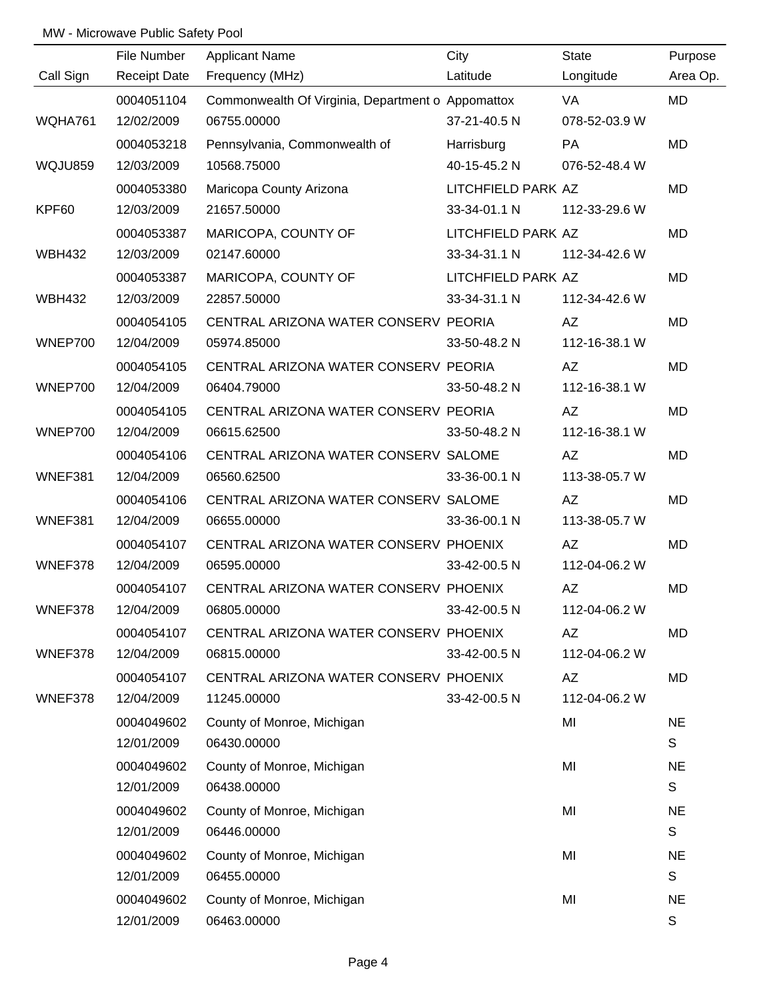|                | File Number         | <b>Applicant Name</b>                             | City               | <b>State</b>  | Purpose      |
|----------------|---------------------|---------------------------------------------------|--------------------|---------------|--------------|
| Call Sign      | <b>Receipt Date</b> | Frequency (MHz)                                   | Latitude           | Longitude     | Area Op.     |
|                | 0004051104          | Commonwealth Of Virginia, Department o Appomattox |                    | VA.           | MD           |
| WQHA761        | 12/02/2009          | 06755.00000                                       | 37-21-40.5 N       | 078-52-03.9 W |              |
|                | 0004053218          | Pennsylvania, Commonwealth of                     | Harrisburg         | PA            | MD           |
| <b>WQJU859</b> | 12/03/2009          | 10568.75000                                       | 40-15-45.2 N       | 076-52-48.4 W |              |
|                | 0004053380          | Maricopa County Arizona                           | LITCHFIELD PARK AZ |               | MD           |
| KPF60          | 12/03/2009          | 21657.50000                                       | 33-34-01.1 N       | 112-33-29.6 W |              |
|                | 0004053387          | MARICOPA, COUNTY OF                               | LITCHFIELD PARK AZ |               | <b>MD</b>    |
| <b>WBH432</b>  | 12/03/2009          | 02147.60000                                       | 33-34-31.1 N       | 112-34-42.6 W |              |
|                | 0004053387          | MARICOPA, COUNTY OF                               | LITCHFIELD PARK AZ |               | <b>MD</b>    |
| <b>WBH432</b>  | 12/03/2009          | 22857.50000                                       | 33-34-31.1 N       | 112-34-42.6 W |              |
|                | 0004054105          | CENTRAL ARIZONA WATER CONSERV PEORIA              |                    | AZ            | MD           |
| WNEP700        | 12/04/2009          | 05974.85000                                       | 33-50-48.2 N       | 112-16-38.1 W |              |
|                | 0004054105          | CENTRAL ARIZONA WATER CONSERV PEORIA              |                    | AZ            | <b>MD</b>    |
| WNEP700        | 12/04/2009          | 06404.79000                                       | 33-50-48.2 N       | 112-16-38.1 W |              |
|                | 0004054105          | CENTRAL ARIZONA WATER CONSERV PEORIA              |                    | AZ            | <b>MD</b>    |
| WNEP700        | 12/04/2009          | 06615.62500                                       | 33-50-48.2 N       | 112-16-38.1 W |              |
|                | 0004054106          | CENTRAL ARIZONA WATER CONSERV SALOME              |                    | AZ            | <b>MD</b>    |
| WNEF381        | 12/04/2009          | 06560.62500                                       | 33-36-00.1 N       | 113-38-05.7 W |              |
|                | 0004054106          | CENTRAL ARIZONA WATER CONSERV SALOME              |                    | AZ            | MD           |
| WNEF381        | 12/04/2009          | 06655.00000                                       | 33-36-00.1 N       | 113-38-05.7 W |              |
|                | 0004054107          | CENTRAL ARIZONA WATER CONSERV PHOENIX             |                    | AZ            | <b>MD</b>    |
| WNEF378        | 12/04/2009          | 06595.00000                                       | 33-42-00.5 N       | 112-04-06.2 W |              |
|                | 0004054107          | CENTRAL ARIZONA WATER CONSERV PHOENIX             |                    | AZ            | <b>MD</b>    |
| WNEF378        | 12/04/2009          | 06805.00000                                       | 33-42-00.5 N       | 112-04-06.2 W |              |
|                | 0004054107          | CENTRAL ARIZONA WATER CONSERV PHOENIX             |                    | AZ            | MD           |
| WNEF378        | 12/04/2009          | 06815.00000                                       | 33-42-00.5 N       | 112-04-06.2 W |              |
|                | 0004054107          | CENTRAL ARIZONA WATER CONSERV PHOENIX             |                    | AZ            | MD           |
| WNEF378        | 12/04/2009          | 11245.00000                                       | 33-42-00.5 N       | 112-04-06.2 W |              |
|                | 0004049602          | County of Monroe, Michigan                        |                    | MI            | <b>NE</b>    |
|                | 12/01/2009          | 06430.00000                                       |                    |               | S            |
|                | 0004049602          | County of Monroe, Michigan                        |                    | MI            | <b>NE</b>    |
|                | 12/01/2009          | 06438.00000                                       |                    |               | S            |
|                | 0004049602          | County of Monroe, Michigan                        |                    | MI            | <b>NE</b>    |
|                | 12/01/2009          | 06446.00000                                       |                    |               | $\mathsf{S}$ |
|                | 0004049602          | County of Monroe, Michigan                        |                    | MI            | <b>NE</b>    |
|                | 12/01/2009          | 06455.00000                                       |                    |               | $\mathsf{s}$ |
|                | 0004049602          | County of Monroe, Michigan                        |                    | MI            | <b>NE</b>    |
|                | 12/01/2009          | 06463.00000                                       |                    |               | S            |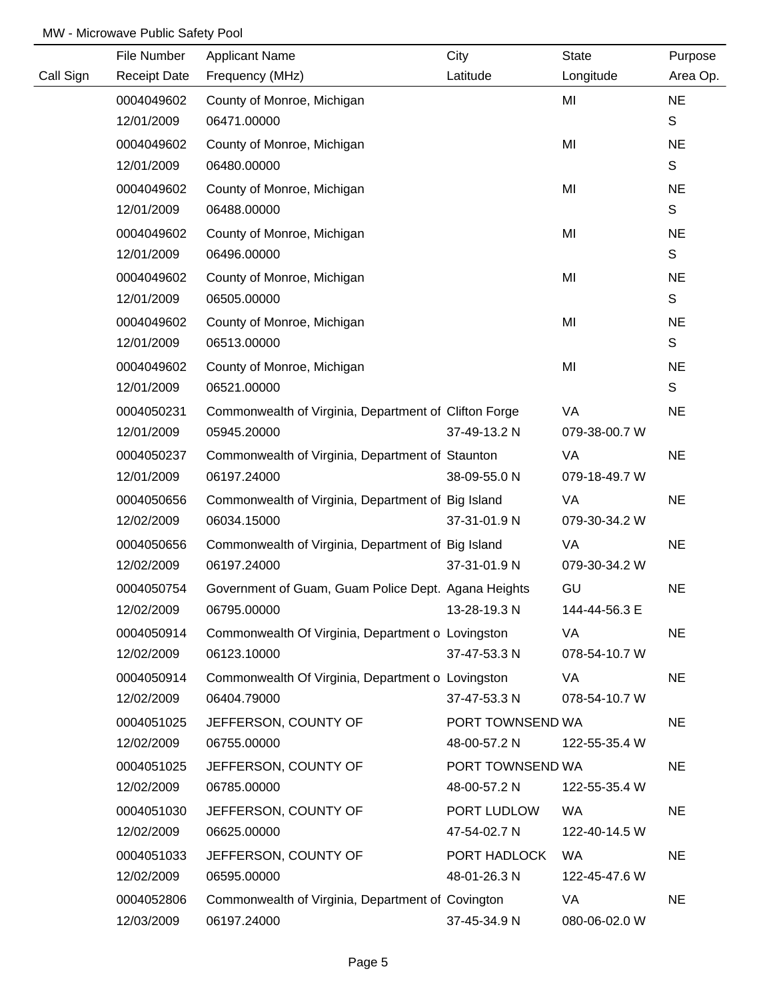|           | File Number         | <b>Applicant Name</b>                                 | City             | <b>State</b>  | Purpose      |
|-----------|---------------------|-------------------------------------------------------|------------------|---------------|--------------|
| Call Sign | <b>Receipt Date</b> | Frequency (MHz)                                       | Latitude         | Longitude     | Area Op.     |
|           | 0004049602          | County of Monroe, Michigan                            |                  | MI            | <b>NE</b>    |
|           | 12/01/2009          | 06471.00000                                           |                  |               | S            |
|           | 0004049602          | County of Monroe, Michigan                            |                  | MI            | <b>NE</b>    |
|           | 12/01/2009          | 06480.00000                                           |                  |               | $\mathsf S$  |
|           | 0004049602          | County of Monroe, Michigan                            |                  | MI            | <b>NE</b>    |
|           | 12/01/2009          | 06488.00000                                           |                  |               | $\mathsf S$  |
|           | 0004049602          | County of Monroe, Michigan                            |                  | MI            | <b>NE</b>    |
|           | 12/01/2009          | 06496.00000                                           |                  |               | $\mathsf S$  |
|           | 0004049602          | County of Monroe, Michigan                            |                  | MI            | <b>NE</b>    |
|           | 12/01/2009          | 06505.00000                                           |                  |               | $\mathsf S$  |
|           | 0004049602          | County of Monroe, Michigan                            |                  | MI            | <b>NE</b>    |
|           | 12/01/2009          | 06513.00000                                           |                  |               | $\mathsf{S}$ |
|           | 0004049602          | County of Monroe, Michigan                            |                  | MI            | <b>NE</b>    |
|           | 12/01/2009          | 06521.00000                                           |                  |               | S            |
|           | 0004050231          | Commonwealth of Virginia, Department of Clifton Forge |                  | VA            | <b>NE</b>    |
|           | 12/01/2009          | 05945.20000                                           | 37-49-13.2 N     | 079-38-00.7 W |              |
|           | 0004050237          | Commonwealth of Virginia, Department of Staunton      |                  | VA            | <b>NE</b>    |
|           | 12/01/2009          | 06197.24000                                           | 38-09-55.0 N     | 079-18-49.7 W |              |
|           | 0004050656          | Commonwealth of Virginia, Department of Big Island    |                  | VA            | <b>NE</b>    |
|           | 12/02/2009          | 06034.15000                                           | 37-31-01.9 N     | 079-30-34.2 W |              |
|           | 0004050656          | Commonwealth of Virginia, Department of Big Island    |                  | VA            | <b>NE</b>    |
|           | 12/02/2009          | 06197.24000                                           | 37-31-01.9 N     | 079-30-34.2 W |              |
|           | 0004050754          | Government of Guam, Guam Police Dept. Agana Heights   |                  | GU            | <b>NE</b>    |
|           | 12/02/2009          | 06795.00000                                           | 13-28-19.3 N     | 144-44-56.3 E |              |
|           | 0004050914          | Commonwealth Of Virginia, Department o Lovingston     |                  | VA            | <b>NE</b>    |
|           | 12/02/2009          | 06123.10000                                           | 37-47-53.3 N     | 078-54-10.7 W |              |
|           | 0004050914          | Commonwealth Of Virginia, Department o Lovingston     |                  | VA            | <b>NE</b>    |
|           | 12/02/2009          | 06404.79000                                           | 37-47-53.3 N     | 078-54-10.7 W |              |
|           | 0004051025          | JEFFERSON, COUNTY OF                                  | PORT TOWNSEND WA |               | <b>NE</b>    |
|           | 12/02/2009          | 06755.00000                                           | 48-00-57.2 N     | 122-55-35.4 W |              |
|           | 0004051025          | JEFFERSON, COUNTY OF                                  | PORT TOWNSEND WA |               | <b>NE</b>    |
|           | 12/02/2009          | 06785.00000                                           | 48-00-57.2 N     | 122-55-35.4 W |              |
|           | 0004051030          | JEFFERSON, COUNTY OF                                  | PORT LUDLOW      | <b>WA</b>     | <b>NE</b>    |
|           | 12/02/2009          | 06625.00000                                           | 47-54-02.7 N     | 122-40-14.5 W |              |
|           | 0004051033          | JEFFERSON, COUNTY OF                                  | PORT HADLOCK     | WA            | <b>NE</b>    |
|           | 12/02/2009          | 06595.00000                                           | 48-01-26.3 N     | 122-45-47.6 W |              |
|           | 0004052806          | Commonwealth of Virginia, Department of Covington     |                  | VA            | <b>NE</b>    |
|           | 12/03/2009          | 06197.24000                                           | 37-45-34.9 N     | 080-06-02.0 W |              |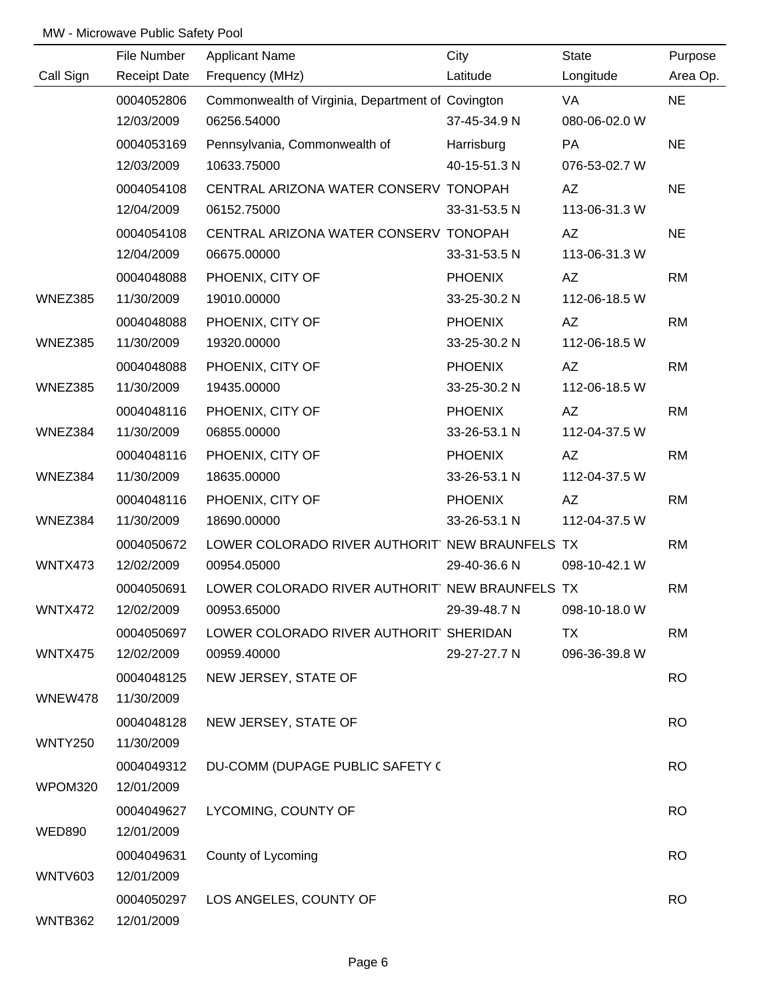|                | File Number         | <b>Applicant Name</b>                             | City           | <b>State</b>  | Purpose   |
|----------------|---------------------|---------------------------------------------------|----------------|---------------|-----------|
| Call Sign      | <b>Receipt Date</b> | Frequency (MHz)                                   | Latitude       | Longitude     | Area Op.  |
|                | 0004052806          | Commonwealth of Virginia, Department of Covington |                | VA            | <b>NE</b> |
|                | 12/03/2009          | 06256.54000                                       | 37-45-34.9 N   | 080-06-02.0 W |           |
|                | 0004053169          | Pennsylvania, Commonwealth of                     | Harrisburg     | PA            | <b>NE</b> |
|                | 12/03/2009          | 10633.75000                                       | 40-15-51.3 N   | 076-53-02.7 W |           |
|                | 0004054108          | CENTRAL ARIZONA WATER CONSERV TONOPAH             |                | AZ            | <b>NE</b> |
|                | 12/04/2009          | 06152.75000                                       | 33-31-53.5 N   | 113-06-31.3 W |           |
|                | 0004054108          | CENTRAL ARIZONA WATER CONSERV TONOPAH             |                | AZ            | <b>NE</b> |
|                | 12/04/2009          | 06675.00000                                       | 33-31-53.5 N   | 113-06-31.3 W |           |
|                | 0004048088          | PHOENIX, CITY OF                                  | <b>PHOENIX</b> | AZ            | <b>RM</b> |
| WNEZ385        | 11/30/2009          | 19010.00000                                       | 33-25-30.2 N   | 112-06-18.5 W |           |
|                | 0004048088          | PHOENIX, CITY OF                                  | <b>PHOENIX</b> | AZ            | <b>RM</b> |
| WNEZ385        | 11/30/2009          | 19320.00000                                       | 33-25-30.2 N   | 112-06-18.5 W |           |
|                | 0004048088          | PHOENIX, CITY OF                                  | <b>PHOENIX</b> | AZ            | <b>RM</b> |
| WNEZ385        | 11/30/2009          | 19435.00000                                       | 33-25-30.2 N   | 112-06-18.5 W |           |
|                | 0004048116          | PHOENIX, CITY OF                                  | <b>PHOENIX</b> | AZ            | <b>RM</b> |
| WNEZ384        | 11/30/2009          | 06855.00000                                       | 33-26-53.1 N   | 112-04-37.5 W |           |
|                | 0004048116          | PHOENIX, CITY OF                                  | <b>PHOENIX</b> | AZ            | <b>RM</b> |
| WNEZ384        | 11/30/2009          | 18635.00000                                       | 33-26-53.1 N   | 112-04-37.5 W |           |
|                | 0004048116          | PHOENIX, CITY OF                                  | <b>PHOENIX</b> | AZ            | <b>RM</b> |
| WNEZ384        | 11/30/2009          | 18690.00000                                       | 33-26-53.1 N   | 112-04-37.5 W |           |
|                | 0004050672          | LOWER COLORADO RIVER AUTHORIT' NEW BRAUNFELS TX   |                |               | <b>RM</b> |
| WNTX473        | 12/02/2009          | 00954.05000                                       | 29-40-36.6 N   | 098-10-42.1 W |           |
|                | 0004050691          | LOWER COLORADO RIVER AUTHORIT' NEW BRAUNFELS TX   |                |               | <b>RM</b> |
| WNTX472        | 12/02/2009          | 00953.65000                                       | 29-39-48.7 N   | 098-10-18.0 W |           |
|                | 0004050697          | LOWER COLORADO RIVER AUTHORIT SHERIDAN            |                | TX            | <b>RM</b> |
| WNTX475        | 12/02/2009          | 00959.40000                                       | 29-27-27.7 N   | 096-36-39.8 W |           |
|                | 0004048125          | NEW JERSEY, STATE OF                              |                |               | <b>RO</b> |
| WNEW478        | 11/30/2009          |                                                   |                |               |           |
|                | 0004048128          | NEW JERSEY, STATE OF                              |                |               | <b>RO</b> |
| <b>WNTY250</b> | 11/30/2009          |                                                   |                |               |           |
|                | 0004049312          | DU-COMM (DUPAGE PUBLIC SAFETY (                   |                |               | <b>RO</b> |
| WPOM320        | 12/01/2009          |                                                   |                |               |           |
|                | 0004049627          | LYCOMING, COUNTY OF                               |                |               | <b>RO</b> |
| <b>WED890</b>  | 12/01/2009          |                                                   |                |               |           |
|                | 0004049631          | County of Lycoming                                |                |               | <b>RO</b> |
| <b>WNTV603</b> | 12/01/2009          |                                                   |                |               |           |
|                | 0004050297          | LOS ANGELES, COUNTY OF                            |                |               | <b>RO</b> |
| WNTB362        | 12/01/2009          |                                                   |                |               |           |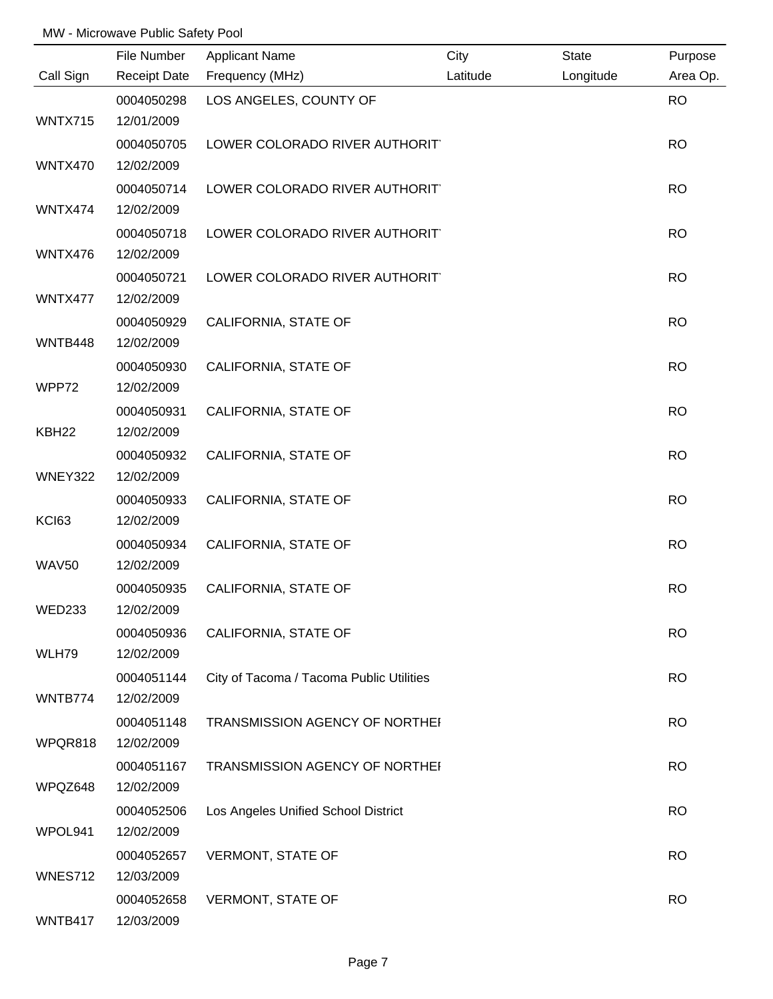|                   | File Number              | <b>Applicant Name</b>                    | City     | State     | Purpose   |
|-------------------|--------------------------|------------------------------------------|----------|-----------|-----------|
| Call Sign         | <b>Receipt Date</b>      | Frequency (MHz)                          | Latitude | Longitude | Area Op.  |
|                   | 0004050298               | LOS ANGELES, COUNTY OF                   |          |           | <b>RO</b> |
| WNTX715           | 12/01/2009               |                                          |          |           |           |
|                   | 0004050705               | LOWER COLORADO RIVER AUTHORIT            |          |           | <b>RO</b> |
| WNTX470           | 12/02/2009               |                                          |          |           |           |
|                   | 0004050714               | LOWER COLORADO RIVER AUTHORIT            |          |           | <b>RO</b> |
| WNTX474           | 12/02/2009               |                                          |          |           |           |
|                   | 0004050718               | LOWER COLORADO RIVER AUTHORIT            |          |           | <b>RO</b> |
| WNTX476           | 12/02/2009               |                                          |          |           |           |
|                   | 0004050721               | LOWER COLORADO RIVER AUTHORIT            |          |           | <b>RO</b> |
| WNTX477           | 12/02/2009               |                                          |          |           |           |
|                   | 0004050929               | CALIFORNIA, STATE OF                     |          |           | <b>RO</b> |
| WNTB448           | 12/02/2009               |                                          |          |           |           |
|                   | 0004050930               | CALIFORNIA, STATE OF                     |          |           | <b>RO</b> |
| WPP72             | 12/02/2009               |                                          |          |           |           |
|                   | 0004050931               | CALIFORNIA, STATE OF                     |          |           | <b>RO</b> |
| KBH <sub>22</sub> | 12/02/2009               |                                          |          |           |           |
|                   | 0004050932               | CALIFORNIA, STATE OF                     |          |           | <b>RO</b> |
| WNEY322           | 12/02/2009               |                                          |          |           |           |
|                   | 0004050933               | CALIFORNIA, STATE OF                     |          |           | <b>RO</b> |
| KCI63             | 12/02/2009               |                                          |          |           |           |
| <b>WAV50</b>      | 0004050934<br>12/02/2009 | CALIFORNIA, STATE OF                     |          |           | <b>RO</b> |
|                   | 0004050935               | CALIFORNIA, STATE OF                     |          |           | <b>RO</b> |
| <b>WED233</b>     | 12/02/2009               |                                          |          |           |           |
|                   | 0004050936               | CALIFORNIA, STATE OF                     |          |           | <b>RO</b> |
| WLH79             | 12/02/2009               |                                          |          |           |           |
|                   | 0004051144               | City of Tacoma / Tacoma Public Utilities |          |           | <b>RO</b> |
| WNTB774           | 12/02/2009               |                                          |          |           |           |
|                   | 0004051148               | TRANSMISSION AGENCY OF NORTHEI           |          |           | <b>RO</b> |
| WPQR818           | 12/02/2009               |                                          |          |           |           |
|                   | 0004051167               | TRANSMISSION AGENCY OF NORTHEI           |          |           | <b>RO</b> |
| WPQZ648           | 12/02/2009               |                                          |          |           |           |
|                   | 0004052506               | Los Angeles Unified School District      |          |           | <b>RO</b> |
| WPOL941           | 12/02/2009               |                                          |          |           |           |
|                   | 0004052657               | <b>VERMONT, STATE OF</b>                 |          |           | <b>RO</b> |
| <b>WNES712</b>    | 12/03/2009               |                                          |          |           |           |
|                   | 0004052658               | <b>VERMONT, STATE OF</b>                 |          |           | <b>RO</b> |
| WNTB417           | 12/03/2009               |                                          |          |           |           |